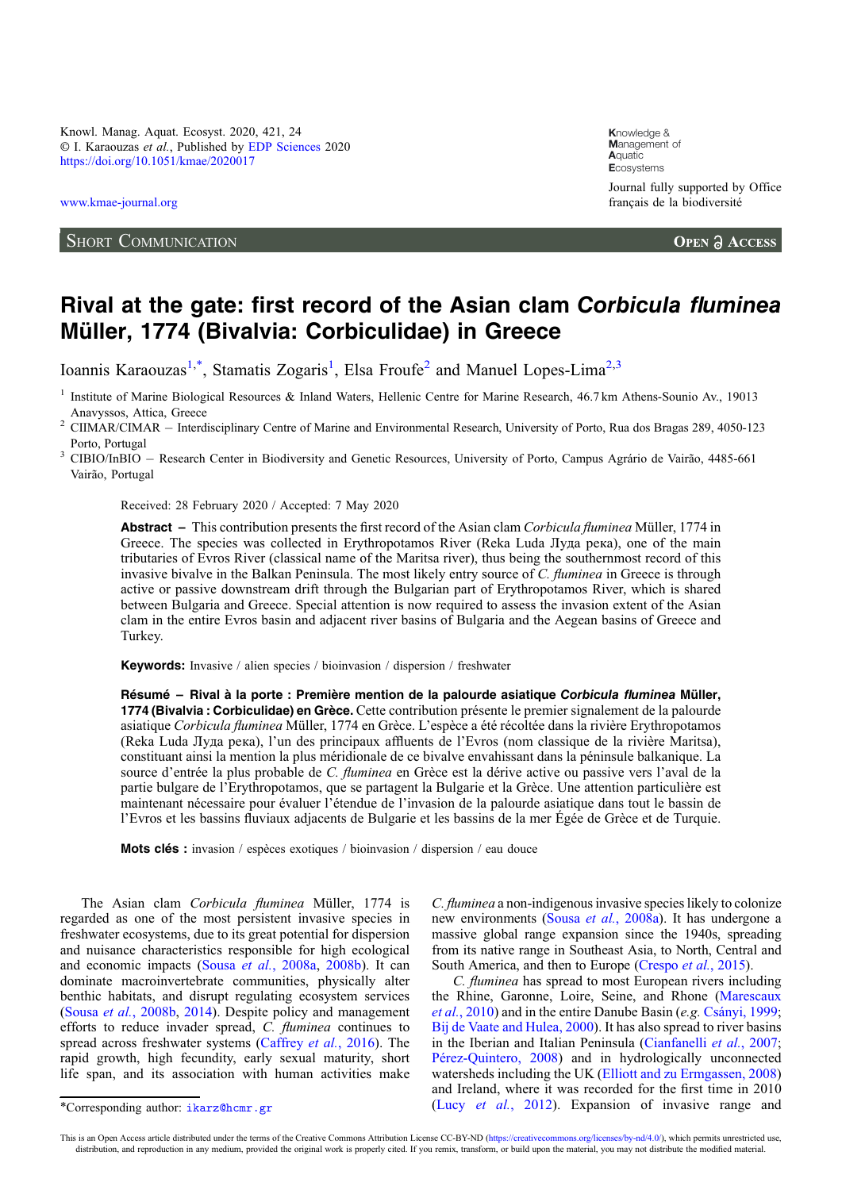Knowl. Manag. Aquat. Ecosyst. 2020, 421, 24 © I. Karaouzas et al., Published by [EDP Sciences](https://www.edpsciences.org) 2020 <https://doi.org/10.1051/kmae/2020017>

[www.kmae-journal.org](https://www.kmae-journal.org)

## SHORT COMMUNICATION

**K**nowledge & **M**anagement of **A**quatic **E**cosystems Journal fully supported by Office français de la biodiversité

**OPEN A ACCESS** 

## Rival at the gate: first record of the Asian clam Corbicula fluminea Müller, 1774 (Bivalvia: Corbiculidae) in Greece

Ioannis Karaouzas<sup>1,\*</sup>, Stamatis Zogaris<sup>1</sup>, Elsa Froufe<sup>2</sup> and Manuel Lopes-Lima<sup>2,3</sup>

<sup>1</sup> Institute of Marine Biological Resources & Inland Waters, Hellenic Centre for Marine Research, 46.7 km Athens-Sounio Av., 19013

Anavyssos, Attica, Greece<br>
<sup>2</sup> CIIMAR/CIMAR – Interdisciplinary Centre of Marine and Environmental Research, University of Porto, Rua dos Bragas 289, 4050-123<br>
Porto, Portugal

Received: 28 February 2020 / Accepted: 7 May 2020

Abstract – This contribution presents the first record of the Asian clam Corbicula fluminea Müller, 1774 in Greece. The species was collected in Erythropotamos River (Reka Luda Луда река), one of the main tributaries of Evros River (classical name of the Maritsa river), thus being the southernmost record of this invasive bivalve in the Balkan Peninsula. The most likely entry source of C. fluminea in Greece is through active or passive downstream drift through the Bulgarian part of Erythropotamos River, which is shared between Bulgaria and Greece. Special attention is now required to assess the invasion extent of the Asian clam in the entire Evros basin and adjacent river basins of Bulgaria and the Aegean basins of Greece and Turkey.

Keywords: Invasive / alien species / bioinvasion / dispersion / freshwater

Résumé – Rival à la porte : Première mention de la palourde asiatique Corbicula fluminea Müller, 1774 (Bivalvia : Corbiculidae) en Grèce. Cette contribution présente le premier signalement de la palourde asiatique Corbicula fluminea Müller, 1774 en Grèce. L'espèce a été récoltée dans la rivière Erythropotamos (Reka Luda Луда река), l'un des principaux affluents de l'Evros (nom classique de la rivière Maritsa), constituant ainsi la mention la plus méridionale de ce bivalve envahissant dans la péninsule balkanique. La source d'entrée la plus probable de C. *fluminea* en Grèce est la dérive active ou passive vers l'aval de la partie bulgare de l'Erythropotamos, que se partagent la Bulgarie et la Grèce. Une attention particulière est maintenant nécessaire pour évaluer l'étendue de l'invasion de la palourde asiatique dans tout le bassin de l'Evros et les bassins fluviaux adjacents de Bulgarie et les bassins de la mer Égée de Grèce et de Turquie.

Mots clés : invasion / espèces exotiques / bioinvasion / dispersion / eau douce

The Asian clam Corbicula fluminea Müller, 1774 is regarded as one of the most persistent invasive species in freshwater ecosystems, due to its great potential for dispersion and nuisance characteristics responsible for high ecological and economic impacts (Sousa et al.[, 2008a,](#page-3-0) [2008b\)](#page-3-0). It can dominate macroinvertebrate communities, physically alter benthic habitats, and disrupt regulating ecosystem services (Sousa et al.[, 2008b](#page-3-0), [2014](#page-3-0)). Despite policy and management efforts to reduce invader spread, C. fluminea continues to spread across freshwater systems [\(Caffrey](#page-2-0) et al., 2016). The rapid growth, high fecundity, early sexual maturity, short life span, and its association with human activities make C. fluminea a non-indigenous invasive species likely to colonize new environments (Sousa et al.[, 2008a\)](#page-3-0). It has undergone a massive global range expansion since the 1940s, spreading from its native range in Southeast Asia, to North, Central and South America, and then to Europe ([Crespo](#page-3-0) et al., 2015).

C. fluminea has spread to most European rivers including the Rhine, Garonne, Loire, Seine, and Rhone [\(Marescaux](#page-3-0) et al.[, 2010](#page-3-0)) and in the entire Danube Basin (e.g. [Csányi, 1999;](#page-3-0) [Bij de Vaate and Hulea, 2000\)](#page-2-0). It has also spread to river basins in the Iberian and Italian Peninsula ([Cianfanelli](#page-3-0) et al., 2007; [Pérez-Quintero, 2008\)](#page-3-0) and in hydrologically unconnected watersheds including the UK ([Elliott and zu Ermgassen, 2008](#page-3-0)) and Ireland, where it was recorded for the first time in 2010 \*Corresponding author: [ikarz@hcmr.gr](mailto:ikarz@hcmr.gr) (Lucy et al.[, 2012\)](#page-3-0). Expansion of invasive range and

This is an Open Access article distributed under the terms of the Creative Commons Attribution License CC-BY-ND ([https://creativecommons.org/licenses/by-nd/4.0/\)](https://creativecommons.org/licenses/by-nd/4.0/), which permits unrestricted use, distribution, and reproduction in any medium, provided the original work is properly cited. If you remix, transform, or build upon the material, you may not distribute the modified material.

<sup>&</sup>lt;sup>3</sup> CIBIO/InBIO - Research Center in Biodiversity and Genetic Resources, University of Porto, Campus Agrário de Vairão, 4485-661 Vairão, Portugal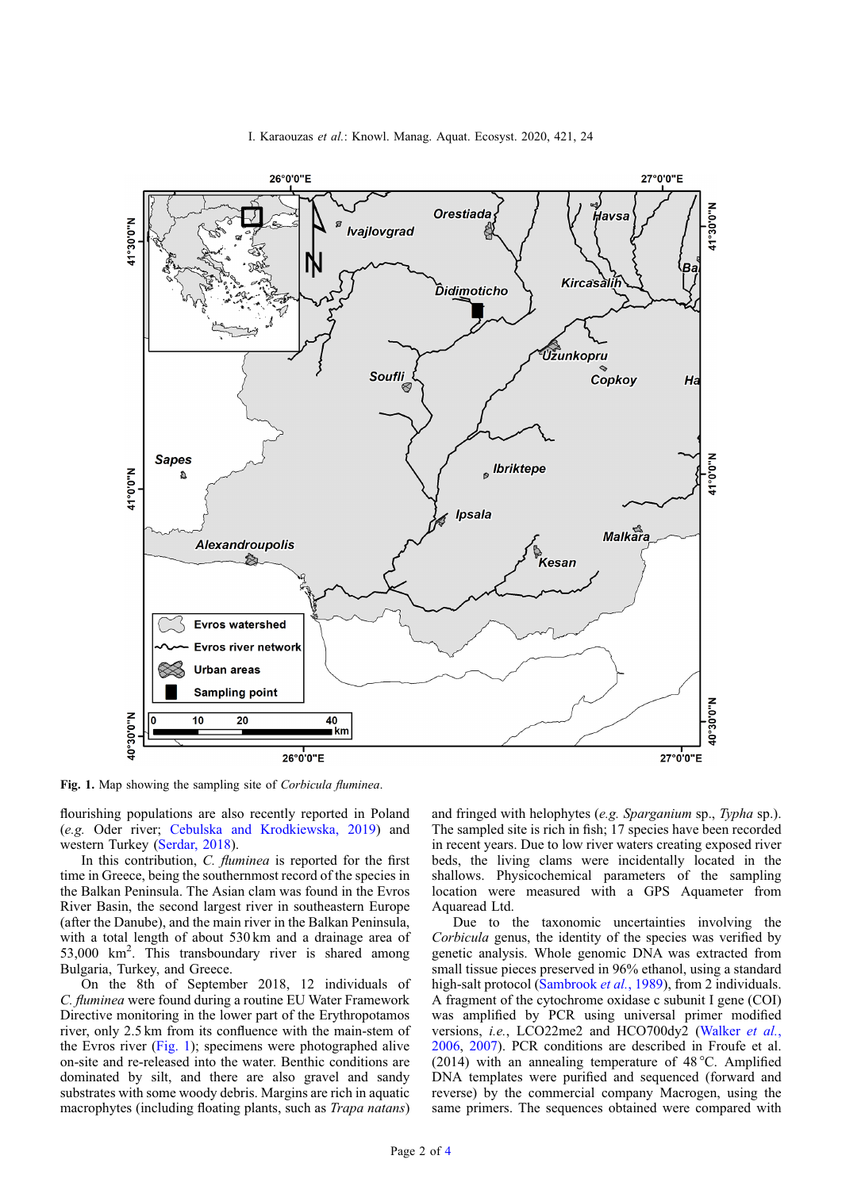I. Karaouzas et al.: Knowl. Manag. Aquat. Ecosyst. 2020, 421, 24



Fig. 1. Map showing the sampling site of Corbicula fluminea.

flourishing populations are also recently reported in Poland (e.g. Oder river; [Cebulska and Krodkiewska, 2019\)](#page-3-0) and western Turkey ([Serdar, 2018](#page-3-0)).

In this contribution, *C. fluminea* is reported for the first time in Greece, being the southernmost record of the species in the Balkan Peninsula. The Asian clam was found in the Evros River Basin, the second largest river in southeastern Europe (after the Danube), and the main river in the Balkan Peninsula, with a total length of about 530 km and a drainage area of 53,000 km<sup>2</sup>. This transboundary river is shared among Bulgaria, Turkey, and Greece.

On the 8th of September 2018, 12 individuals of C. fluminea were found during a routine EU Water Framework Directive monitoring in the lower part of the Erythropotamos river, only 2.5 km from its confluence with the main-stem of the Evros river (Fig. 1); specimens were photographed alive on-site and re-released into the water. Benthic conditions are dominated by silt, and there are also gravel and sandy substrates with some woody debris. Margins are rich in aquatic macrophytes (including floating plants, such as *Trapa natans*)

and fringed with helophytes (e.g. Sparganium sp., Typha sp.). The sampled site is rich in fish; 17 species have been recorded in recent years. Due to low river waters creating exposed river beds, the living clams were incidentally located in the shallows. Physicochemical parameters of the sampling location were measured with a GPS Aquameter from Aquaread Ltd.

Due to the taxonomic uncertainties involving the Corbicula genus, the identity of the species was verified by genetic analysis. Whole genomic DNA was extracted from small tissue pieces preserved in 96% ethanol, using a standard high-salt protocol [\(Sambrook](#page-3-0) et al., 1989), from 2 individuals. A fragment of the cytochrome oxidase c subunit I gene (COI) was amplified by PCR using universal primer modified versions, i.e., LCO22me2 and HCO700dy2 [\(Walker](#page-3-0) et al., [2006](#page-3-0), [2007\)](#page-3-0). PCR conditions are described in Froufe et al. (2014) with an annealing temperature of 48 °C. Amplified DNA templates were purified and sequenced (forward and reverse) by the commercial company Macrogen, using the same primers. The sequences obtained were compared with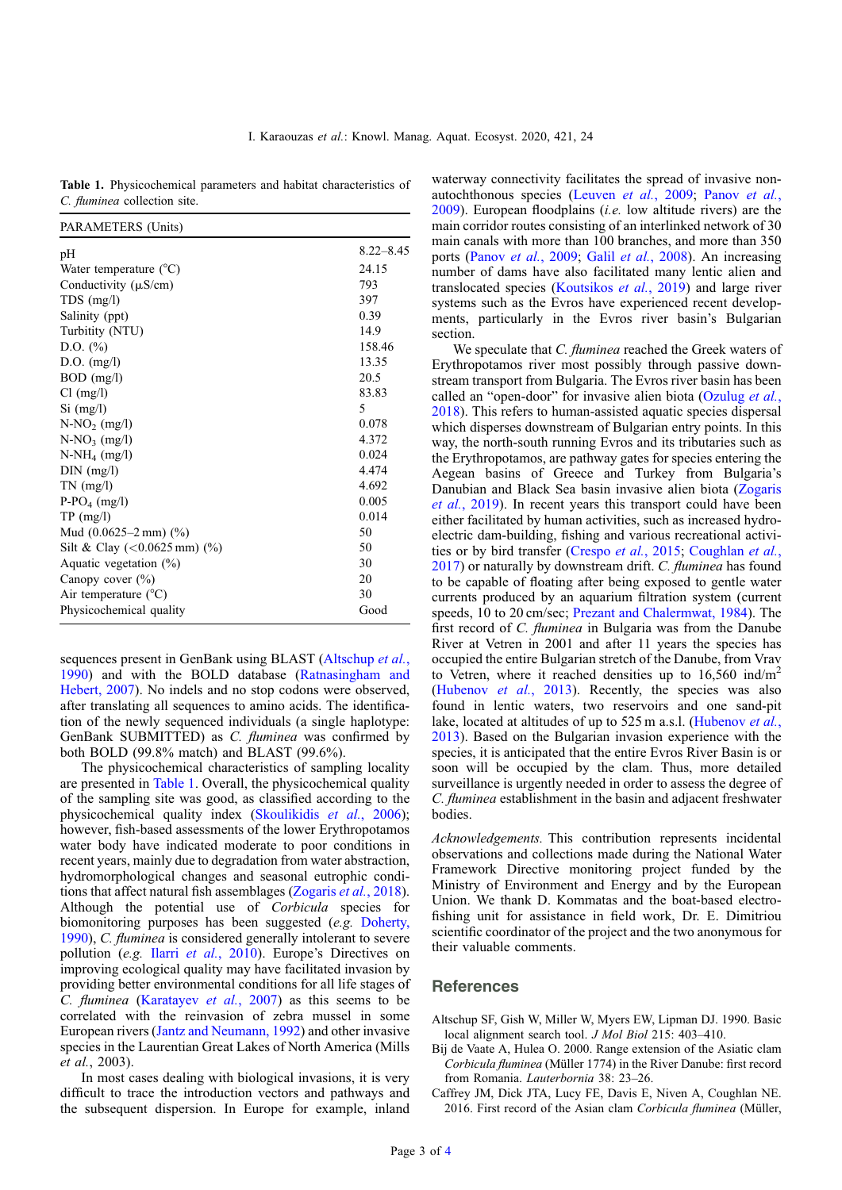<span id="page-2-0"></span>Table 1. Physicochemical parameters and habitat characteristics of C. fluminea collection site.

| PARAMETERS (Units)                     |               |
|----------------------------------------|---------------|
| pH                                     | $8.22 - 8.45$ |
| Water temperature $(^{\circ}C)$        | 24.15         |
| Conductivity $(\mu S/cm)$              | 793           |
| $TDS$ (mg/l)                           | 397           |
| Salinity (ppt)                         | 0.39          |
| Turbitity (NTU)                        | 14.9          |
| D.O. $(\% )$                           | 158.46        |
| $D.O.$ (mg/l)                          | 13.35         |
| $BOD$ (mg/l)                           | 20.5          |
| Cl (mg/l)                              | 83.83         |
| $Si$ (mg/l)                            | 5             |
| $N-NO2$ (mg/l)                         | 0.078         |
| $N-NO_3$ (mg/l)                        | 4.372         |
| $N-NH_4$ (mg/l)                        | 0.024         |
| $DIN$ (mg/l)                           | 4.474         |
| $TN$ (mg/l)                            | 4.692         |
| $P-PO4$ (mg/l)                         | 0.005         |
| TP (mg/l)                              | 0.014         |
| Mud $(0.0625-2 \text{ mm})$ (%)        | 50            |
| Silt & Clay $(<0.0625 \text{ mm})$ (%) | 50            |
| Aquatic vegetation $(\% )$             | 30            |
| Canopy cover $(\%)$                    | 20            |
| Air temperature $(^{\circ}C)$          | 30            |
| Physicochemical quality                | Good          |

sequences present in GenBank using BLAST (Altschup et al., 1990) and with the BOLD database [\(Ratnasingham and](#page-3-0) [Hebert, 2007](#page-3-0)). No indels and no stop codons were observed, after translating all sequences to amino acids. The identification of the newly sequenced individuals (a single haplotype: GenBank SUBMITTED) as C. fluminea was confirmed by both BOLD (99.8% match) and BLAST (99.6%).

The physicochemical characteristics of sampling locality are presented in Table 1. Overall, the physicochemical quality of the sampling site was good, as classified according to the physicochemical quality index ([Skoulikidis](#page-3-0) et al., 2006); however, fish-based assessments of the lower Erythropotamos water body have indicated moderate to poor conditions in recent years, mainly due to degradation from water abstraction, hydromorphological changes and seasonal eutrophic conditions that affect natural fish assemblages [\(Zogaris](#page-3-0) et al., 2018). Although the potential use of Corbicula species for biomonitoring purposes has been suggested (e.g. [Doherty,](#page-3-0) [1990](#page-3-0)), C. fluminea is considered generally intolerant to severe pollution (e.g. Ilarri et al.[, 2010](#page-3-0)). Europe's Directives on improving ecological quality may have facilitated invasion by providing better environmental conditions for all life stages of C. fluminea ([Karatayev](#page-3-0) et al., 2007) as this seems to be correlated with the reinvasion of zebra mussel in some European rivers ([Jantz and Neumann, 1992\)](#page-3-0) and other invasive species in the Laurentian Great Lakes of North America (Mills et al., 2003).

In most cases dealing with biological invasions, it is very difficult to trace the introduction vectors and pathways and the subsequent dispersion. In Europe for example, inland waterway connectivity facilitates the spread of invasive nonautochthonous species ([Leuven](#page-3-0) et al., 2009; [Panov](#page-3-0) et al.,  $2009$ ). European floodplains *(i.e.* low altitude rivers) are the main corridor routes consisting of an interlinked network of 30 main canals with more than 100 branches, and more than 350 ports (Panov et al.[, 2009;](#page-3-0) Galil et al.[, 2008](#page-3-0)). An increasing number of dams have also facilitated many lentic alien and translocated species [\(Koutsikos](#page-3-0) et al., 2019) and large river systems such as the Evros have experienced recent developments, particularly in the Evros river basin's Bulgarian section.

We speculate that *C. fluminea* reached the Greek waters of Erythropotamos river most possibly through passive downstream transport from Bulgaria. The Evros river basin has been called an "open-door" for invasive alien biota [\(Ozulug](#page-3-0) et al., [2018](#page-3-0)). This refers to human-assisted aquatic species dispersal which disperses downstream of Bulgarian entry points. In this way, the north-south running Evros and its tributaries such as the Erythropotamos, are pathway gates for species entering the Aegean basins of Greece and Turkey from Bulgaria's Danubian and Black Sea basin invasive alien biota [\(Zogaris](#page-3-0) et al.[, 2019\)](#page-3-0). In recent years this transport could have been either facilitated by human activities, such as increased hydroelectric dam-building, fishing and various recreational activities or by bird transfer ([Crespo](#page-3-0) et al., 2015; [Coughlan](#page-3-0) et al., [2017](#page-3-0)) or naturally by downstream drift. C. *fluminea* has found to be capable of floating after being exposed to gentle water currents produced by an aquarium filtration system (current speeds, 10 to 20 cm/sec; [Prezant and Chalermwat, 1984\)](#page-3-0). The first record of C. fluminea in Bulgaria was from the Danube River at Vetren in 2001 and after 11 years the species has occupied the entire Bulgarian stretch of the Danube, from Vrav to Vetren, where it reached densities up to  $16,560$  ind/m<sup>2</sup> ([Hubenov](#page-3-0) et al., 2013). Recently, the species was also found in lentic waters, two reservoirs and one sand-pit lake, located at altitudes of up to 525 m a.s.l. ([Hubenov](#page-3-0) *et al.*, [2013](#page-3-0)). Based on the Bulgarian invasion experience with the species, it is anticipated that the entire Evros River Basin is or soon will be occupied by the clam. Thus, more detailed surveillance is urgently needed in order to assess the degree of C. fluminea establishment in the basin and adjacent freshwater bodies.

Acknowledgements. This contribution represents incidental observations and collections made during the National Water Framework Directive monitoring project funded by the Ministry of Environment and Energy and by the European Union. We thank D. Kommatas and the boat-based electrofishing unit for assistance in field work, Dr. E. Dimitriou scientific coordinator of the project and the two anonymous for their valuable comments.

## References

- Altschup SF, Gish W, Miller W, Myers EW, Lipman DJ. 1990. Basic local alignment search tool. J Mol Biol 215: 403–410.
- Bij de Vaate A, Hulea O. 2000. Range extension of the Asiatic clam Corbicula fluminea (Müller 1774) in the River Danube: first record from Romania. Lauterbornia 38: 23–26.
- Caffrey JM, Dick JTA, Lucy FE, Davis E, Niven A, Coughlan NE. 2016. First record of the Asian clam Corbicula fluminea (Müller,